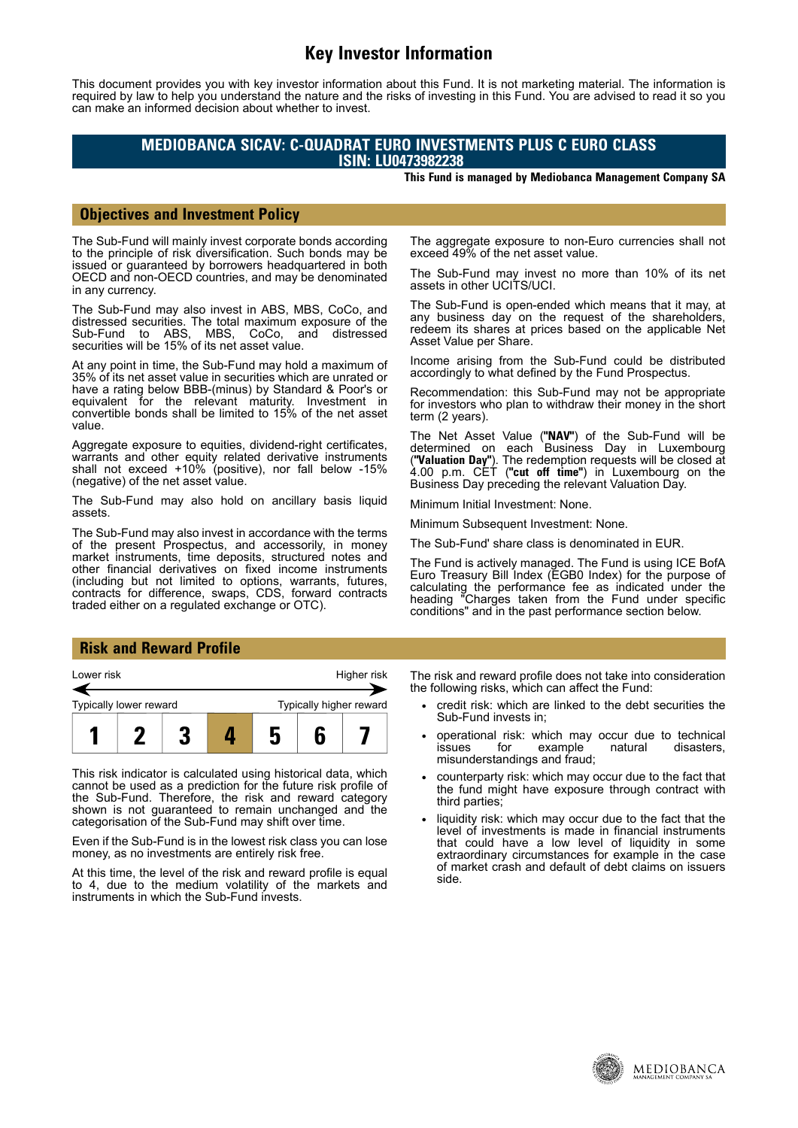# **Key Investor Information**

This document provides you with key investor information about this Fund. It is not marketing material. The information is required by law to help you understand the nature and the risks of investing in this Fund. You are advised to read it so you can make an informed decision about whether to invest.

### **MEDIOBANCA SICAV: C-QUADRAT EURO INVESTMENTS PLUS C EURO CLASS ISIN: LU0473982238**

**This Fund is managed by Mediobanca Management Company SA**

#### **Objectives and Investment Policy**

The Sub-Fund will mainly invest corporate bonds according to the principle of risk diversification. Such bonds may be issued or guaranteed by borrowers headquartered in both OECD and non-OECD countries, and may be denominated in any currency.

The Sub-Fund may also invest in ABS, MBS, CoCo, and distressed securities. The total maximum exposure of the Sub-Fund to ABS, MBS, CoCo, and distressed Sub-Fund to ABS, MBS, securities will be 15% of its net asset value.

At any point in time, the Sub-Fund may hold a maximum of 35% of its net asset value in securities which are unrated or have a rating below BBB-(minus) by Standard & Poor's or equivalent for the relevant maturity. Investment in convertible bonds shall be limited to 15% of the net asset value.

Aggregate exposure to equities, dividend-right certificates, warrants and other equity related derivative instruments shall not exceed +10% (positive), nor fall below -15% (negative) of the net asset value.

The Sub-Fund may also hold on ancillary basis liquid assets.

The Sub-Fund may also invest in accordance with the terms of the present Prospectus, and accessorily, in money market instruments, time deposits, structured notes and other financial derivatives on fixed income instruments (including but not limited to options, warrants, futures, contracts for difference, swaps, CDS, forward contracts traded either on a regulated exchange or OTC).

The aggregate exposure to non-Euro currencies shall not exceed 49% of the net asset value.

The Sub-Fund may invest no more than 10% of its net assets in other UCITS/UCI.

The Sub-Fund is open-ended which means that it may, at any business day on the request of the shareholders, redeem its shares at prices based on the applicable Net Asset Value per Share.

Income arising from the Sub-Fund could be distributed accordingly to what defined by the Fund Prospectus.

Recommendation: this Sub-Fund may not be appropriate for investors who plan to withdraw their money in the short term (2 years).

The Net Asset Value (**"NAV"**) of the Sub-Fund will be determined on each Business Day in Luxembourg (**"Valuation Day"**). The redemption requests will be closed at 4.00 p.m. CET (**"cut off time"**) in Luxembourg on the Business Day preceding the relevant Valuation Day.

Minimum Initial Investment: None.

Minimum Subsequent Investment: None.

The Sub-Fund' share class is denominated in EUR.

The Fund is actively managed. The Fund is using ICE BofA Euro Treasury Bill Index (EGB0 Index) for the purpose of calculating the performance fee as indicated under the heading "Charges taken from the Fund under specific conditions" and in the past performance section below.

#### **Risk and Reward Profile**



This risk indicator is calculated using historical data, which cannot be used as a prediction for the future risk profile of the Sub-Fund. Therefore, the risk and reward category shown is not guaranteed to remain unchanged and the categorisation of the Sub-Fund may shift over time.

Even if the Sub-Fund is in the lowest risk class you can lose money, as no investments are entirely risk free.

At this time, the level of the risk and reward profile is equal to 4, due to the medium volatility of the markets and instruments in which the Sub-Fund invests.

The risk and reward profile does not take into consideration the following risks, which can affect the Fund:

- credit risk: which are linked to the debt securities the Sub-Fund invests in;
- operational risk: which may occur due to technical<br>issues for example natural disasters. issues for example natural disasters, misunderstandings and fraud;
- counterparty risk: which may occur due to the fact that the fund might have exposure through contract with third parties;
- liquidity risk: which may occur due to the fact that the level of investments is made in financial instruments that could have a low level of liquidity in some extraordinary circumstances for example in the case of market crash and default of debt claims on issuers side.